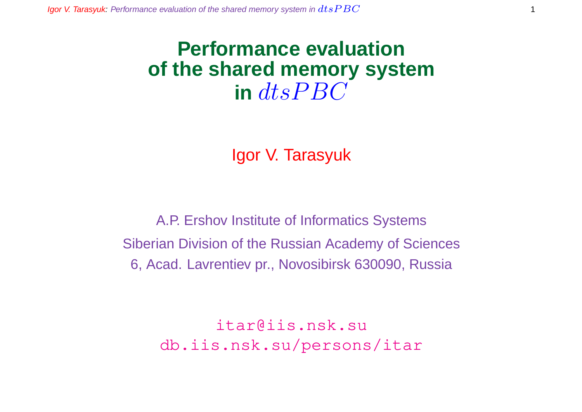## **Performance evaluation of the shared memory system**  $\int$  dts  $P$  BC

Igor V. Tarasyuk

A.P. Ershov Institute of Informatics Systems Siberian Division of the Russian Academy of Sciences 6, Acad. Lavrentiev pr., Novosibirsk 630090, Russia

> itar@iis.nsk.su db.iis.nsk.su/persons/itar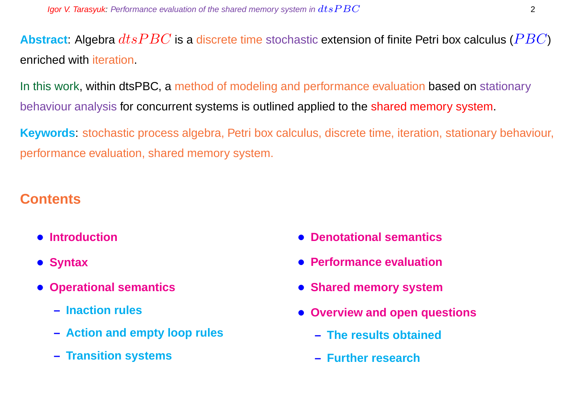**Abstract:** Algebra  $dtsPBC$  is a discrete time stochastic extension of finite Petri box calculus ( $PBC$ ) enriched with iteration.

In this work, within dtsPBC, a method of modeling and performance evaluation based on stationary behaviour analysis for concurrent systems is outlined applied to the shared memory system.

**Keywords**: stochastic process algebra, Petri box calculus, discrete time, iteration, stationary behaviour, performance evaluation, shared memory system.

### **Contents**

- **Introduction**
- **Syntax**
- **Operational semantics**
	- **– Inaction rules**
	- **– Action and empty loop rules**
	- **– Transition systems**
- **Denotational semantics**
- **Performance evaluation**
- **Shared memory system**
- **Overview and open questions**
	- **– The results obtained**
	- **– Further research**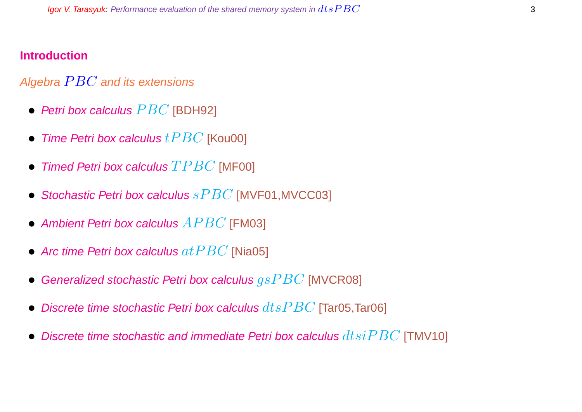#### **Introduction**

#### Algebra  $PBC$  and its extensions

- Petri box calculus  $PBC$  [BDH92]
- Time Petri box calculus  $tPBC$  [Kou00]
- Timed Petri box calculus  $TPBC$  [MF00]
- Stochastic Petri box calculus  $sPBC$  [MVF01, MVCC03]
- Ambient Petri box calculus  $APBC$  [FM03]
- Arc time Petri box calculus  $at PBC$  [Nia05]
- Generalized stochastic Petri box calculus  $gsPBC$  [MVCR08]
- Discrete time stochastic Petri box calculus  $dtsPBC$  [Tar05,Tar06]
- Discrete time stochastic and immediate Petri box calculus  $dtsiPBC$  [TMV10]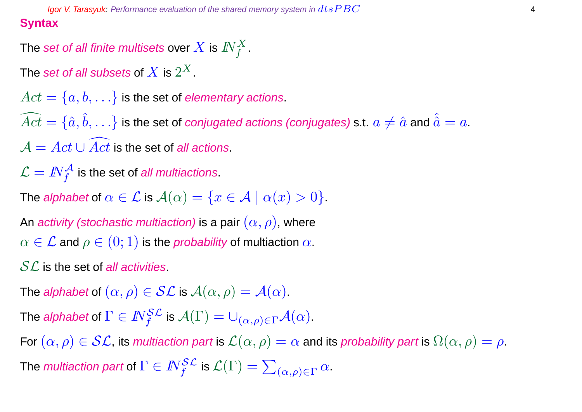**Igor V. Tarasyuk:** Performance evaluation of the shared memory system in  $dtsPBC$   $4$ **Syntax**

The set of all finite multisets over  $X$  is  $I\!\!N_f^X.$ 

The  $\operatorname{\mathsf{set}}$  of all subsets of  $X$  is  $2^X.$ 

 $Act = \{a, b, \ldots\}$  is the set of *elementary actions*.  $\widehat{Act} = \{\hat a, \hat b, \ldots\}$  is the set of *conjugated actions (conjugates)* s.t.  $a\neq \hat a$  and  $\hat{\hat a}=a.$  $\mathcal{A} = Act \cup \overline{Act}$  is the set of all actions.

 $\mathcal{L} = \textit{IN}^{\mathcal{A}}_{f}$  is the set of *all multiactions*.

The alphabet of  $\alpha \in \mathcal{L}$  is  $\mathcal{A}(\alpha) = \{x \in \mathcal{A} \mid \alpha(x) > 0\}.$ 

An activity (stochastic multiaction) is a pair  $(\alpha, \rho)$ , where  $\alpha \in \mathcal{L}$  and  $\rho \in (0,1)$  is the *probability* of multiaction  $\alpha$ .

 $SL$  is the set of all activities.

The alphabet of  $(\alpha, \rho) \in \mathcal{SL}$  is  $\mathcal{A}(\alpha, \rho) = \mathcal{A}(\alpha)$ .

The *alphabet* of  $\Gamma \in I\!\!N_f^{\mathcal{SL}}$  is  $\mathcal{A}(\Gamma) = \cup_{(\alpha,\rho) \in \Gamma} \mathcal{A}(\alpha).$ 

For  $(\alpha, \rho) \in \mathcal{SL}$ , its multiaction part is  $\mathcal{L}(\alpha, \rho) = \alpha$  and its probability part is  $\Omega(\alpha, \rho) = \rho$ . The *multiaction part* of  $\Gamma \in I\!\!N_f^{\mathcal{SL}}$  is  $\mathcal{L}(\Gamma) = \sum_{(\alpha,\rho) \in \Gamma} \alpha.$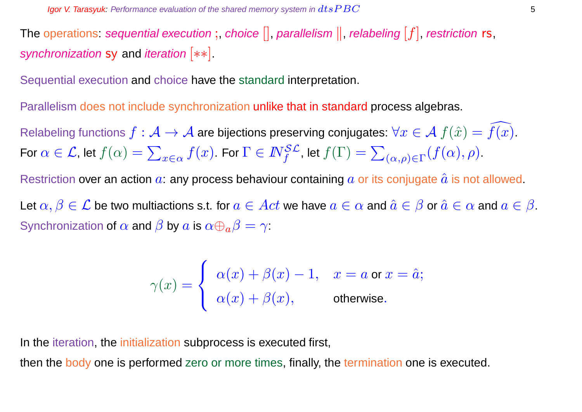The operations: sequential execution;, choice  $[]$ , parallelism  $||$ , relabeling  $[f]$ , restriction rs, synchronization sy and iteration [ $**$ ].

Sequential execution and choice have the standard interpretation.

Parallelism does not include synchronization unlike that in standard process algebras.

Relabeling functions  $f : \mathcal{A} \to \mathcal{A}$  are bijections preserving conjugates:  $\forall x \in \mathcal{A}$   $f(\hat{x}) = \overline{f(x)}$ . For  $\alpha \in \mathcal{L}$ , let  $f(\alpha) = \sum$  $\mathcal{L}_{x\in\alpha}\,f(x).$  For  $\Gamma\in I\!\!N_f^{\mathcal{SL}}$ , let  $f(\Gamma)=\sum\limits_{i,j\in\mathcal{N}_f}$  $_{(\alpha,\rho)\in\Gamma}(f(\alpha),\rho).$ 

Restriction over an action  $a$ : any process behaviour containing  $a$  or its conjugate  $\hat{a}$  is not allowed.

Let  $\alpha, \beta \in \mathcal{L}$  be two multiactions s.t. for  $a \in Act$  we have  $a \in \alpha$  and  $\hat{a} \in \beta$  or  $\hat{a} \in \alpha$  and  $a \in \beta$ . Synchronization of  $\alpha$  and  $\beta$  by  $\alpha$  is  $\alpha \oplus_{\alpha} \beta = \gamma$ :

$$
\gamma(x) = \begin{cases} \alpha(x) + \beta(x) - 1, & x = a \text{ or } x = \hat{a}; \\ \alpha(x) + \beta(x), & \text{otherwise}. \end{cases}
$$

In the iteration, the initialization subprocess is executed first,

then the body one is performed zero or more times, finally, the termination one is executed.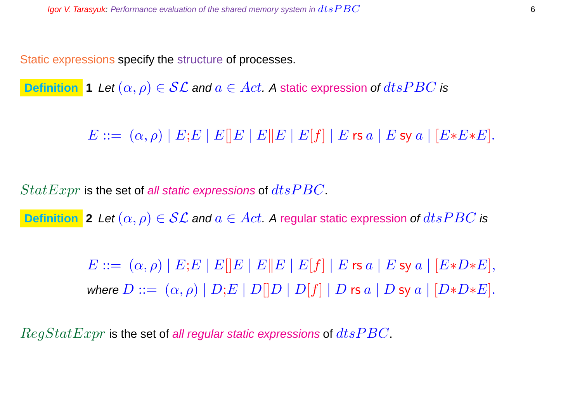Static expressions specify the structure of processes.

**Definition 1** Let  $(\alpha, \rho) \in \mathcal{SL}$  and  $a \in Act$ . A static expression of  $dtsPBC$  is

 $E ::= (\alpha, \rho) | E; E | E | E | E | E | E | E | f | E \text{ is a} | E \text{ sy a} | [E * E * E].$ 

 $StatExpr$  is the set of all static expressions of  $dtsPBC$ .

**Definition** 2 Let  $(\alpha, \rho) \in \mathcal{SL}$  and  $a \in Act$ . A regular static expression of  $dtsPBC$  is

 $E ::= (\alpha, \rho) | E; E | E | E | E | E | E | E | f | E \text{ is a} | E \text{ sy a} | [E * D * E],$ where  $D ::= (\alpha, \rho) | D; E | D[|D | D[|f] | D$  rs  $a | D$  sy  $a | [D*D*E].$ 

 $RegStatexpr$  is the set of all regular static expressions of  $dtsPBC$ .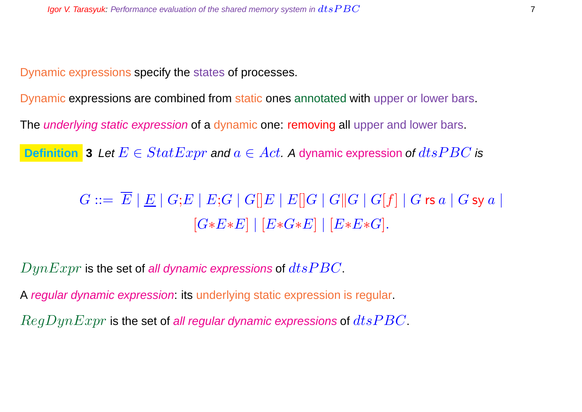Dynamic expressions specify the states of processes.

Dynamic expressions are combined from static ones annotated with upper or lower bars.

The *underlying static expression* of a dynamic one: removing all upper and lower bars.

**Definition** 3 Let  $E \in StatExpr$  and  $a \in Act$ . A dynamic expression of  $dtsPBC$  is

 $G ::= \overline{E} |E| |G;E| |E;G| |G||E| |E||G| |G||G| |G|f| |G$ rs  $a |G$  sy  $a |$  $[G*E*E] | [E*G*E] | [E*E*G].$ 

 $DynExpr$  is the set of all dynamic expressions of  $dtsPBC$ .

A regular dynamic expression: its underlying static expression is regular.

 $RegDynExpr$  is the set of all regular dynamic expressions of  $dtsPBC$ .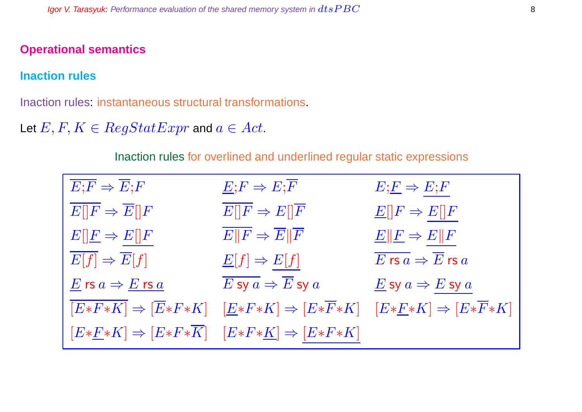#### **Operational semantics**

#### **Inaction rules**

Inaction rules: instantaneous structural transformations.

Let  $E, F, K \in RegStatExpr$  and  $a \in Act$ .

Inaction rules for overlined and underlined regular static expressions

| $\overline{E;F} \Rightarrow \overline{E};F$                                | $E; F \Rightarrow E; \overline{F}$                                                                                                                         | $E;\underline{F} \Rightarrow E;F$                                           |
|----------------------------------------------------------------------------|------------------------------------------------------------------------------------------------------------------------------------------------------------|-----------------------------------------------------------------------------|
| $\overline{E  F} \Rightarrow \overline{E  F}$                              | $E  F \Rightarrow E  \overline{F}$                                                                                                                         | $E[ F \Rightarrow E[]F$                                                     |
| $E[\underline{F} \Rightarrow E[\overline{F}]$                              | $\overline{E  F} \Rightarrow \overline{E  F}$                                                                                                              | $E  F \Rightarrow E  F$                                                     |
| $E[f] \Rightarrow \overline{E}[f]$                                         | $\underline{E}[f] \Rightarrow E[f]$                                                                                                                        | $\overline{E}$ rs $\overline{a} \Rightarrow \overline{E}$ rs $\overline{a}$ |
| $\underline{E}$ rs $a \Rightarrow \underline{E}$ rs $\underline{a}$        | $\overline{E}$ sy $a\Rightarrow \overline{E}$ sy $a$                                                                                                       | $E$ sy $a \Rightarrow E$ sy $a$                                             |
|                                                                            | $[E*F*K] \Rightarrow [\overline{E}*F*K] \quad [\underline{E}*F*K] \Rightarrow [E*\overline{F}*K] \quad [E*\underline{F}*K] \Rightarrow [E*\overline{F}*K]$ |                                                                             |
| $[E*E*K] \Rightarrow [E*F*\overline{K}] \quad [E*F*K] \Rightarrow [E*F*K]$ |                                                                                                                                                            |                                                                             |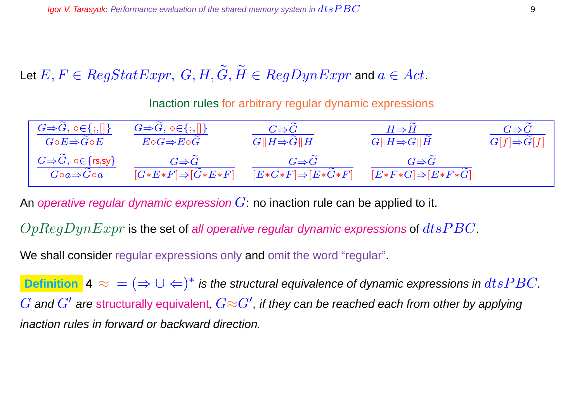Let  $E, F \in RegStatexpr$ ,  $G, H, \widetilde{G}, \widetilde{H} \in RegDynExpr$  and  $a \in Act$ .

Inaction rules for arbitrary regular dynamic expressions

| $G \Rightarrow G, o \in \{ ;, [] \}$                             | $G \Rightarrow G, \circ \in \{ ; , [] \}$          | $G \Rightarrow G$                                   | $H \Rightarrow H$                                  | $G \Rightarrow G$       |
|------------------------------------------------------------------|----------------------------------------------------|-----------------------------------------------------|----------------------------------------------------|-------------------------|
| $G\!\circ\! E\!\Rightarrow\! G\!\circ\! E$                       | $E \circ G \Rightarrow E \circ G$                  | $G  H \Rightarrow G  H$                             | $G  H \Rightarrow G  H$                            | $G[f] \Rightarrow G[f]$ |
| $G \Rightarrow G, \circ \in \{rs, sy\}$<br>$Goa \Rightarrow Goa$ | $G \Rightarrow G$<br>$[G*E*F] \Rightarrow [G*E*F]$ | $G{\Rightarrow} G$<br>$[E*G*F] \Rightarrow [E*G*F]$ | $G \Rightarrow G$<br>$[E*F*G] \Rightarrow [E*F*G]$ |                         |

An operative regular dynamic expression  $G$ : no inaction rule can be applied to it.

 $OpReqDynExpr$  is the set of all operative regular dynamic expressions of  $dts PBC$ .

We shall consider regular expressions only and omit the word "regular".

**Definition**  $\blacktriangle \approx$  =  $(\Rightarrow \cup \Leftarrow)^*$  is the structural equivalence of dynamic expressions in  $dtsPBC$ .  $G$  and  $G'$  are structurally equivalent,  $G{\approx}G'$ , if they can be reached each from other by applying inaction rules in forward or backward direction.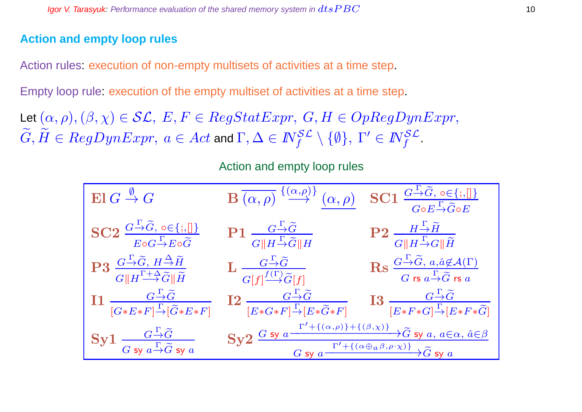#### **Action and empty loop rules**

Action rules: execution of non-empty multisets of activities at a time step.

Empty loop rule: execution of the empty multiset of activities at a time step.

Let  $(\alpha, \rho),(\beta, \chi) \in \mathcal{SL}, E, F \in RegStatexpr, G, H \in OpRegDynExpr,$  $G,\tilde H\in RegDynExpr,\ a\in Act$  and  $\Gamma,\Delta\in I\!\!N_f^{\mathcal{SL}}\setminus\{\emptyset\},\ \Gamma'\in I\!\!N_f^{\mathcal{SL}}.$ 

Action and empty loop rules

| $\operatorname{El} G \stackrel{\emptyset}{\to} G$                                                                                                                                           | $\mathbf{B}\xrightarrow{\overline{(\alpha,\rho)}} \xrightarrow{\{\alpha,\rho\}} \xrightarrow{\alpha,\rho} \mathbf{SC1} \xrightarrow{\overline{G \rightarrow \widetilde{G}, o \in \{\, , \, \  \} }}_{G \circ E \xrightarrow{\Gamma} \widetilde{G} \circ E}$                                                               |                                                                                                                                                                                              |
|---------------------------------------------------------------------------------------------------------------------------------------------------------------------------------------------|---------------------------------------------------------------------------------------------------------------------------------------------------------------------------------------------------------------------------------------------------------------------------------------------------------------------------|----------------------------------------------------------------------------------------------------------------------------------------------------------------------------------------------|
| $SC2 \frac{G \rightarrow \widetilde{G}, o \in \{;,\}]}{E \circ G \rightarrow E \circ \widetilde{G}}$                                                                                        | $P1 \frac{G \stackrel{\Gamma}{\rightarrow} \widetilde{G}}{G \  H \stackrel{\Gamma}{\rightarrow} \widetilde{G} \  H} \qquad P2 \frac{H \stackrel{\Gamma}{\rightarrow} \widetilde{H}}{G \  H \stackrel{\Gamma}{\rightarrow} G \  \widetilde{H}}$                                                                            |                                                                                                                                                                                              |
| $\mathrm{P3}\ \frac{G\overset{\Gamma}{\rightarrow}\!\widetilde{G},\,H\overset{\Delta}{\rightarrow}\!\widetilde{H}}{G\ H\overset{\Gamma+\Delta}{\rightarrow}\!\widetilde{G}\ \widetilde{H}}$ | $\mathbf{L} \xrightarrow[G[f]^{\textstyle f(\Gamma)}\widetilde{G}[f]]{\textstyle\overbrace{\widetilde{G}[f]}}$                                                                                                                                                                                                            | $\operatorname{Rs} \frac{G \stackrel{\Gamma}{\rightarrow} \widetilde{G}, a, \hat{a} \notin \mathcal{A}(\Gamma)}{G \text{ rs } a \stackrel{\Gamma}{\rightarrow} \widetilde{G} \text{ rs } a}$ |
| $\label{eq:11} \mathbf{I1} \xrightarrow[{G*E*F}] {\xrightarrow{\Gamma}} {\widetilde{G}} \ {\xrightarrow{[G*E*F]}}$                                                                          | $\begin{array}{cc}\n\textbf{I2} & \xrightarrow{G \xrightarrow{\Gamma} \widetilde{G}} & \textbf{I3} & \xrightarrow{G \xrightarrow{\Gamma} \widetilde{G}}\\ \n\boxed{E*G*F] \xrightarrow{\Gamma} [E*\widetilde{G}*F]} & \textbf{I3} & \xrightarrow{G \xrightarrow{\Gamma} \widetilde{G}} [E*F*\widetilde{G}] \n\end{array}$ |                                                                                                                                                                                              |
| $\mathbf{Syl}$ $\frac{G-\widetilde{G}}{G \mathbf{s} y}$ $\frac{\Gamma}{a-\widetilde{G} \mathbf{s} y}$ $\frac{\Gamma}{a}$                                                                    | Sy2 $\frac{G \text{ sy } a \xrightarrow{\Gamma'+((\alpha,\rho)) + ((\beta,\chi))} \tilde{G} \text{ sy } a, a \in \alpha, \hat{a} \in \beta}{G \text{ sy } a \xrightarrow{\Gamma'+((\alpha \oplus a \beta, \rho \cdot \chi))} \tilde{G} \text{ sy } a}$                                                                    |                                                                                                                                                                                              |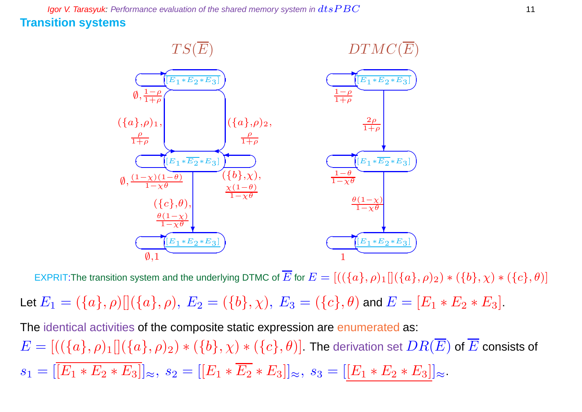**Igor V. Tarasyuk:** Performance evaluation of the shared memory system in  $dtsPBC$  11 **Transition systems**



EXPRIT:The transition system and the underlying DTMC of  $\overline{E}$  for  $E = [((\{a\}, \rho)_1][(\{a\}, \rho)_2) * (\{b\}, \chi) * (\{c\}, \theta)]$ 

Let  $E_1 = (\{a\}, \rho) [(\{a\}, \rho), E_2 = (\{b\}, \chi), E_3 = (\{c\}, \theta)$  and  $E = [E_1 * E_2 * E_3]$ .

The identical activities of the composite static expression are enumerated as:  $E=[((\{a\},\rho)_1][(\{a\},\rho)_2)*(\{b\},\chi)*(\{c\},\theta)]$ . The derivation set  $DR(\overline{E})$  of  $\overline{E}$  consists of  $s_1 = |\overline{[E_1 * E_2 * E_3]}|_{\approx}, s_2 = |[E_1 * \overline{E_2} * E_3]|_{\approx}, s_3 = |[E_1 * E_2 * E_3]|_{\approx}.$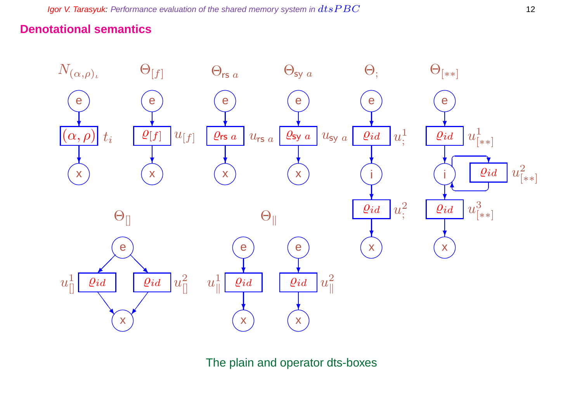### **Denotational semantics**



The plain and operator dts-boxes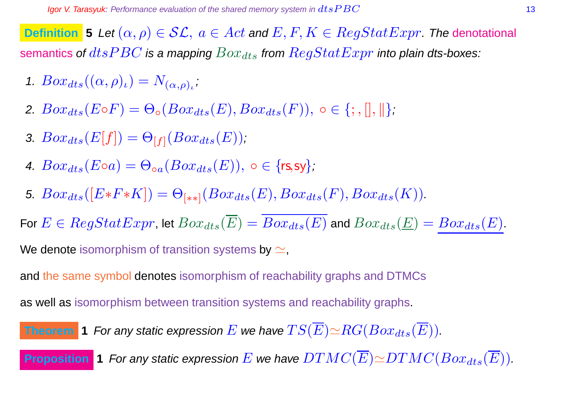**Definition** 5 Let  $(\alpha, \rho) \in \mathcal{SL}$ ,  $a \in Act$  and  $E, F, K \in RegStatExpr$ . The denotational semantics of  $dtsPBC$  is a mapping  $Box_{dts}$  from  $RegStatExpr$  into plain dts-boxes:

- 1.  $Box_{dts}((\alpha, \rho)_\iota) = N_{(\alpha, \rho)_\iota}$
- 2.  $Box_{dts}(E \circ F) = \Theta_{\circ}(Box_{dts}(E), Box_{dts}(F)), \circ \in \{; , \|, \| \};$
- 3.  $Box_{dts}(E[f]) = \Theta_{[f]}(Box_{dts}(E));$
- 4.  $Box_{dts}(E \circ a) = \Theta_{oa}(Box_{dts}(E))$ ,  $\circ \in \{rs, sy\}$ ;
- 5.  $Box_{dts}([E*F*K]) = \Theta_{[**]}(Box_{dts}(E),Box_{dts}(F),Box_{dts}(K)).$

For  $E \in RegStatexpr$ , let  $Box_{dts}(\overline{E}) = \overline{Box_{dts}(E)}$  and  $Box_{dts}(\underline{E}) = Box_{dts}(E)$ .

We denote isomorphism of transition systems by  $\simeq$ ,

and the same symbol denotes isomorphism of reachability graphs and DTMCs

as well as isomorphism between transition systems and reachability graphs.

**Theorem 1** For any static expression 
$$
E
$$
 we have  $TS(\overline{E}) \simeq RG(Box_{dts}(\overline{E}))$ .

**Proposition 1** For any static expression E we have  $DTMC(\overline{E}) \simeq DTMC(Box_{dts}(\overline{E}))$ .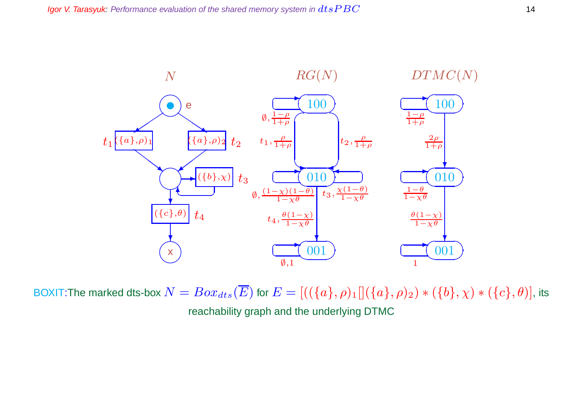

BOXIT:The marked dts-box  $N = Box_{dts}(\overline{E})$  for  $E = [((\{a\}, \rho)_1][(\{a\}, \rho)_2) * (\{b\}, \chi) * (\{c\}, \theta)]$ , its reachability graph and the underlying DTMC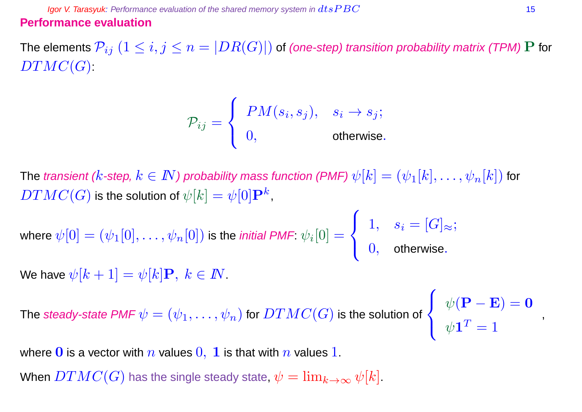**Igor V. Tarasyuk:** Performance evaluation of the shared memory system in  $dtsPBC$  15 **Performance evaluation**

The elements  $\mathcal{P}_{ij}$   $(1\leq i,j\leq n=|DR(G)|)$  of (one-step) transition probability matrix (TPM) P for  $DTMC(G)$ :

$$
\mathcal{P}_{ij} = \begin{cases} PM(s_i, s_j), & s_i \rightarrow s_j; \\ 0, & \text{otherwise.} \end{cases}
$$

The transient (k-step,  $k \in I\!\!N$ ) probability mass function (PMF)  $\psi[k] = (\psi_1[k], \ldots, \psi_n[k])$  for  $DTMC(G)$  is the solution of  $\psi[k]=\psi[0]\mathbf{P}^k,$ 

where 
$$
\psi[0] = (\psi_1[0], \dots, \psi_n[0])
$$
 is the *initial PMF*:  $\psi_i[0] = \begin{cases} 1, & s_i = [G]_{\approx}; \\ 0, & \text{otherwise}. \end{cases}$ 

We have  $\psi[k+1] = \psi[k]\mathbf{P}, k \in \mathbb{N}$ .

The *steady-state PMF*  $\psi=(\psi_1,\ldots,\psi_n)$  *for*  $DTMC(G)$  *is the solution of* 

 $\sqrt{ }$  $\frac{1}{2}$  $\overline{\mathcal{L}}$  $\psi(\mathbf{P}-\mathbf{E})=\mathbf{0}$  $\psi\mathbf{1}^T=1$ 

,

where 0 is a vector with n values  $0, 1$  is that with n values 1.

When  $DTMC(G)$  has the single steady state,  $\psi = \lim_{k \to \infty} \psi[k]$ .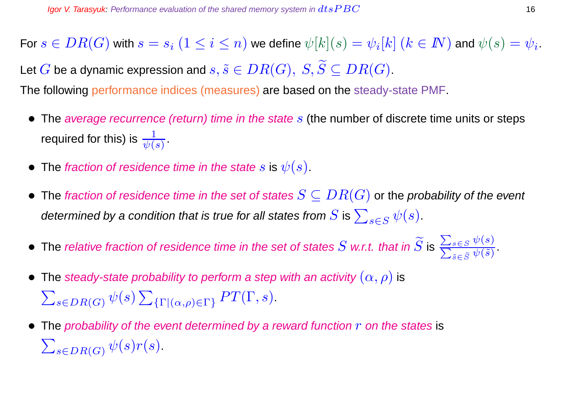For  $s\in DR(G)$  with  $s=s_i\;(1\leq i\leq n)$  we define  $\psi[k](s)=\psi_i[k]$   $(k\in I\!\!N)$  and  $\psi(s)=\psi_i.$ Let G be a dynamic expression and  $s, \tilde{s} \in DR(G), S, \widetilde{S} \subseteq DR(G).$ 

The following performance indices (measures) are based on the steady-state PMF.

- The average recurrence (return) time in the state  $s$  (the number of discrete time units or steps required for this) is  $\frac{1}{\psi(s)}$  .
- The fraction of residence time in the state s is  $\psi(s)$ .
- The fraction of residence time in the set of states  $S \subseteq DR(G)$  or the probability of the event determined by a condition that is true for all states from  $S$  is  $\sum_{s\in S} \psi(s).$
- $\bullet\,$  The relative fraction of residence time in the set of states  $S$  w.r.t. that in  $S$  is  $\overline{\phantom{0}}$ P  $s \in S$   $\psi(s)$  $_{\tilde{s}\in \widetilde{S}}\psi (\tilde{s})$ .
- The steady-state probability to perform a step with an activity  $(\alpha, \rho)$  is  $\sum_{s \in DR(G)} \psi(s) \sum_{\{\Gamma \mid (\alpha,\rho) \in \Gamma\}} PT(\Gamma, s).$
- The probability of the event determined by a reward function  $r$  on the states is  $\sum_{s \in DR(G)} \psi(s) r(s)$ .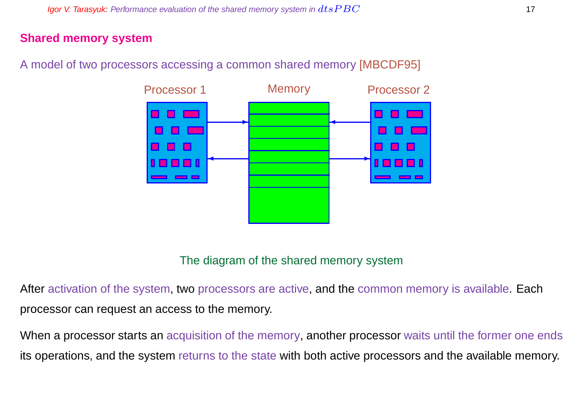#### **Shared memory system**

A model of two processors accessing a common shared memory [MBCDF95]



#### The diagram of the shared memory system

After activation of the system, two processors are active, and the common memory is available. Each processor can request an access to the memory.

When a processor starts an acquisition of the memory, another processor waits until the former one ends its operations, and the system returns to the state with both active processors and the available memory.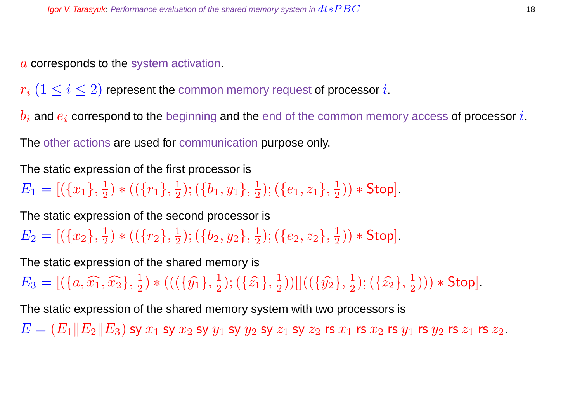a corresponds to the system activation.

 $r_i$   $(1 \leq i \leq 2)$  represent the common memory request of processor i.

 $b_i$  and  $e_i$  correspond to the beginning and the end of the common memory access of processor i.

The other actions are used for communication purpose only.

The static expression of the first processor is

 $E_1 = [(\{x_1\}, \frac{1}{2}]$  $\frac{1}{2}$ ) \* (( $\{r_1\}, \frac{1}{2}$  $(\{b_1,y_1\},\frac{1}{2})$  $(\{e_1,z_1\},\frac{1}{2})$  $(\frac{1}{2})$   $*$  Stop].

The static expression of the second processor is

 $E_2=[(\{x_2\},\frac{1}{2}$  $\frac{1}{2}$ ) \* (( $\{r_2\},\frac{1}{2}$  $(\{b_2,y_2\},\frac{1}{2})$  $(\{e_2,z_2\},\frac{1}{2})$  $(\frac{1}{2})$   $*$  Stop].

The static expression of the shared memory is

 $E_3 = [(\lbrace a, \widehat{x_1}, \widehat{x_2} \rbrace, \frac{1}{2}]$  $(\{ \widehat{y_1} \}, \frac{1}{2})$  \*  $(((\{\widehat{y_1}\}, \frac{1}{2})$  $(\{\hat{z_1}\},\{\{2\}\})$  $(\frac{1}{2}))[[((\{\hat{y_2}\},\frac{1}{2}% )^{2}](\vec{y_1}+\vec{y_2})^2]$  $(\{\hat{z_2}\},\frac{1}{2})$  $(\frac{1}{2}))) *$  Stop].

The static expression of the shared memory system with two processors is

 $E = (E_1||E_2||E_3)$  sy  $x_1$  sy  $x_2$  sy  $y_1$  sy  $y_2$  sy  $z_1$  sy  $z_2$  rs  $x_1$  rs  $x_2$  rs  $y_1$  rs  $y_2$  rs  $z_1$  rs  $z_2$ .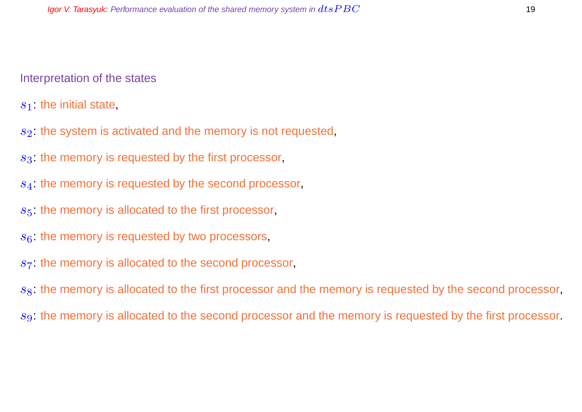#### Interpretation of the states

 $s_1$ : the initial state,

- $s<sub>2</sub>$ : the system is activated and the memory is not requested,
- $s<sub>3</sub>$ : the memory is requested by the first processor,
- s<sub>4</sub>: the memory is requested by the second processor,
- $s<sub>5</sub>$ : the memory is allocated to the first processor,
- $s<sub>6</sub>$ : the memory is requested by two processors,
- $s<sub>7</sub>$ : the memory is allocated to the second processor,

 $s<sub>8</sub>$ : the memory is allocated to the first processor and the memory is requested by the second processor,

s<sub>9</sub>: the memory is allocated to the second processor and the memory is requested by the first processor.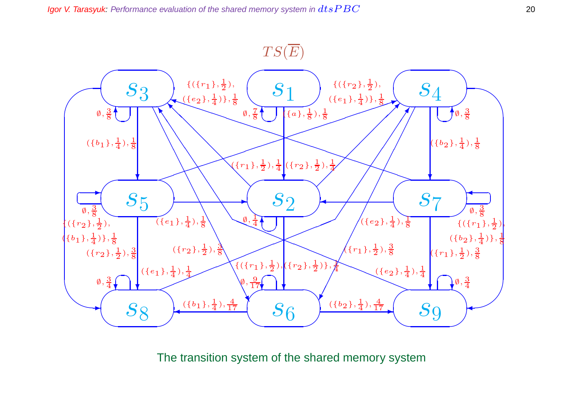

The transition system of the shared memory system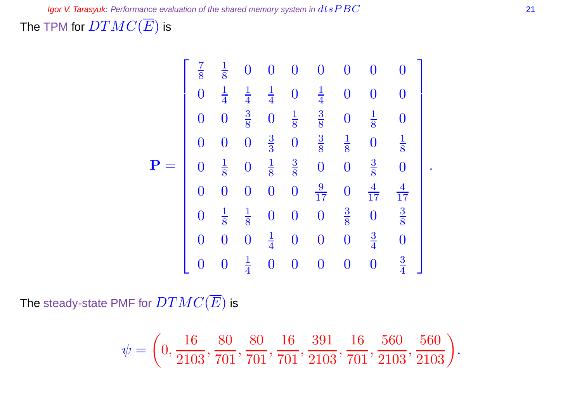The TPM for  $DTMC(\overline{E})$  is

$$
\mathbf{P} = \begin{bmatrix} \frac{7}{8} & \frac{1}{8} & 0 & 0 & 0 & 0 & 0 & 0 & 0 \\ 0 & \frac{1}{4} & \frac{1}{4} & \frac{1}{4} & 0 & \frac{1}{4} & 0 & 0 & 0 \\ 0 & 0 & \frac{3}{8} & 0 & \frac{1}{8} & \frac{3}{8} & 0 & \frac{1}{8} & 0 \\ 0 & 0 & 0 & \frac{3}{3} & 0 & \frac{3}{8} & \frac{1}{8} & 0 & \frac{1}{8} \\ 0 & \frac{1}{8} & 0 & \frac{1}{8} & \frac{3}{8} & 0 & 0 & \frac{3}{8} & 0 \\ 0 & 0 & 0 & 0 & 0 & \frac{9}{17} & 0 & \frac{4}{17} & \frac{4}{17} \\ 0 & \frac{1}{8} & \frac{1}{8} & 0 & 0 & 0 & \frac{3}{8} & 0 & \frac{3}{8} \\ 0 & 0 & 0 & \frac{1}{4} & 0 & 0 & 0 & 0 & \frac{3}{4} & 0 \\ 0 & 0 & \frac{1}{4} & 0 & 0 & 0 & 0 & 0 & \frac{3}{4} \end{bmatrix}.
$$

The steady-state PMF for  $DTMC(\overline{E})$  is

$$
\psi=\left(0,\frac{16}{2103},\frac{80}{701},\frac{80}{701},\frac{16}{701},\frac{391}{2103},\frac{16}{701},\frac{560}{2103},\frac{560}{2103}\right)
$$

.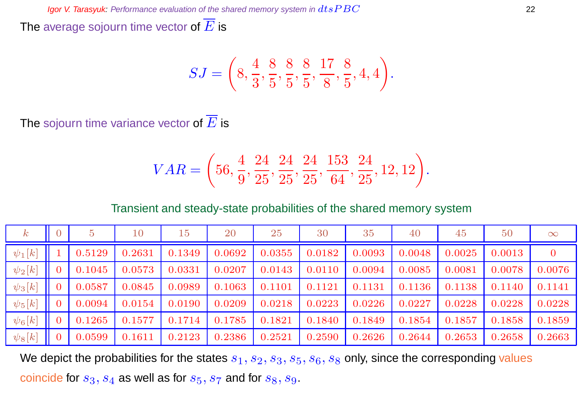The average sojourn time vector of  $\overline{E}$  is

$$
SJ = \left(8, \frac{4}{3}, \frac{8}{5}, \frac{8}{5}, \frac{8}{5}, \frac{17}{8}, \frac{8}{5}, 4, 4\right).
$$

The sojourn time variance vector of  $\overline{E}$  is

$$
VAR = \left(56, \frac{4}{9}, \frac{24}{25}, \frac{24}{25}, \frac{24}{25}, \frac{153}{64}, \frac{24}{25}, 12, 12\right).
$$

Transient and steady-state probabilities of the shared memory system

| $\boldsymbol{k}$ |        | 10     | 15     | 20     | 25     | 30     | 35     | 40     | 45     | 50     | $\infty$       |
|------------------|--------|--------|--------|--------|--------|--------|--------|--------|--------|--------|----------------|
| $\psi_1[k]$      | 0.5129 | 0.2631 | 0.1349 | 0.0692 | 0.0355 | 0.0182 | 0.0093 | 0.0048 | 0.0025 | 0.0013 | $\overline{0}$ |
| $\psi_2[k]$      | 0.1045 | 0.0573 | 0.0331 | 0.0207 | 0.0143 | 0.0110 | 0.0094 | 0.0085 | 0.0081 | 0.0078 | 0.0076         |
| $\psi_3[k]$      | 0.0587 | 0.0845 | 0.0989 | 0.1063 | 0.1101 | 0.1121 | 0.1131 | 0.1136 | 0.1138 | 0.1140 | 0.1141         |
| $\psi_5[k]$      | 0.0094 | 0.0154 | 0.0190 | 0.0209 | 0.0218 | 0.0223 | 0.0226 | 0.0227 | 0.0228 | 0.0228 | 0.0228         |
| $ \psi_6[k] $    | 0.1265 | 0.1577 | 0.1714 | 0.1785 | 0.1821 | 0.1840 | 0.1849 | 0.1854 | 0.1857 | 0.1858 | 0.1859         |
| $ \psi_8[k] $    | 0.0599 | 0.1611 | 0.2123 | 0.2386 | 0.2521 | 0.2590 | 0.2626 | 0.2644 | 0.2653 | 0.2658 | 0.2663         |

We depict the probabilities for the states  $s_1, s_2, s_3, s_5, s_6, s_8$  only, since the corresponding values coincide for  $s_3$ ,  $s_4$  as well as for  $s_5$ ,  $s_7$  and for  $s_8$ ,  $s_9$ .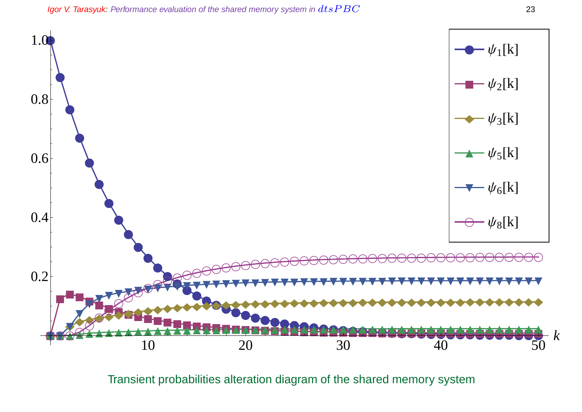

Transient probabilities alteration diagram of the shared memory system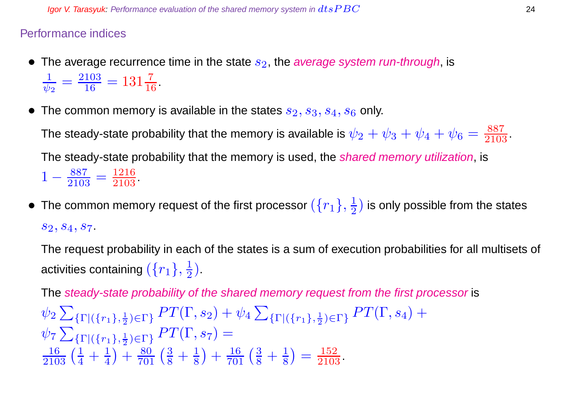#### Performance indices

- The average recurrence time in the state  $s_2$ , the average system run-through, is 1  $\frac{1}{\psi_2} = \frac{2103}{16}$  $\frac{103}{16} = 131\frac{7}{16}$ .
- The common memory is available in the states  $s_2, s_3, s_4, s_6$  only.

The steady-state probability that the memory is available is  $\psi_2+\psi_3+\psi_4+\psi_6=\frac{887}{2103}.$ The steady-state probability that the memory is used, the *shared memory utilization*, is  $1-\frac{887}{2105}$  $\frac{887}{2103} = \frac{1216}{2103}$ 

 $\bullet~$  The common memory request of the first processor  $(\{r_1\},\frac{1}{2})$  $\frac{1}{2}$ ) is only possible from the states  $s_2, s_4, s_7.$ 

The request probability in each of the states is a sum of execution probabilities for all multisets of activities containing  $(\{r_1\},\frac{1}{2})$  $\frac{1}{2}$ ).

The steady-state probability of the shared memory request from the first processor is  $\psi_2$   $\sum$  $\{\Gamma | (\{r_1\},\frac{1}{2})\}$  $\frac{1}{2}$ <sub>2</sub>) =  $\Gamma$ <sub>2</sub> PT( $\Gamma$ , s<sub>2</sub>) +  $\psi_4$   $\sum$  $\{\Gamma | (\{r_1\},\frac{1}{2})\}$  $\frac{1}{2}$ ) $\in$ Γ}  $PT(\Gamma, s_4)$   $+$  $\psi$ 7 $\sum$  $\{\Gamma | ({r_1}, \frac{1}{2})\}$  $\frac{1}{2}$ <sub>)</sub>∈ $\Gamma$ }  $PT(\Gamma,s_7) =$  $\frac{16}{2103} \left( \frac{1}{4} + \frac{1}{4} \right)$ 4  $+\frac{80}{701}(\frac{3}{8}+\frac{1}{8})$ 8  $+\frac{16}{701}(\frac{3}{8}+\frac{1}{8})$ 8  $=$  $\frac{152}{2103}$ .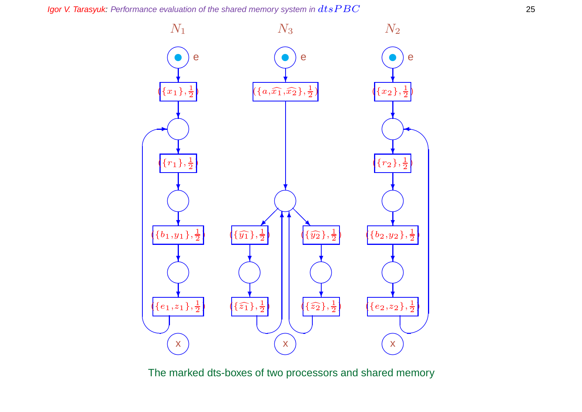Igor V. Tarasyuk: Performance evaluation of the shared memory system in  $dtsPBC$ 



The marked dts-boxes of two processors and shared memory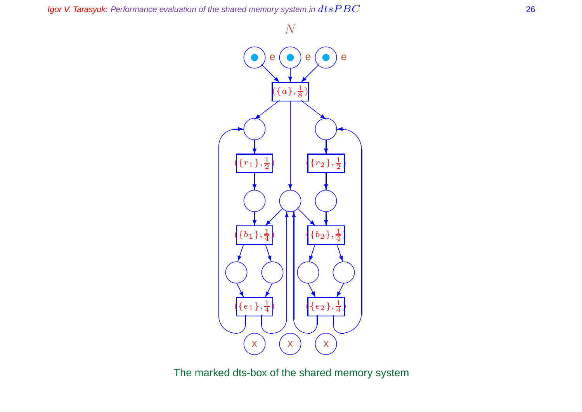



The marked dts-box of the shared memory system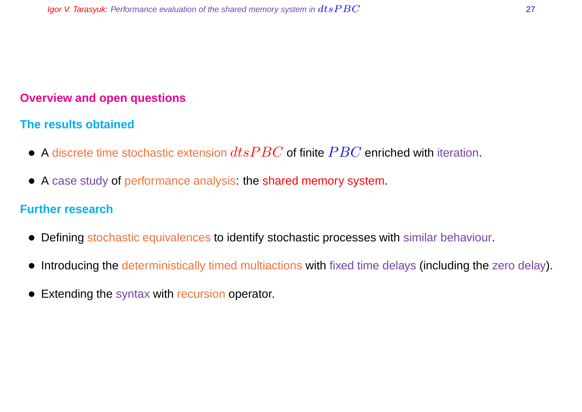### **Overview and open questions**

#### **The results obtained**

- A discrete time stochastic extension  $dtsPBC$  of finite  $PBC$  enriched with iteration.
- A case study of performance analysis: the shared memory system.

#### **Further research**

- Defining stochastic equivalences to identify stochastic processes with similar behaviour.
- Introducing the deterministically timed multiactions with fixed time delays (including the zero delay).
- Extending the syntax with recursion operator.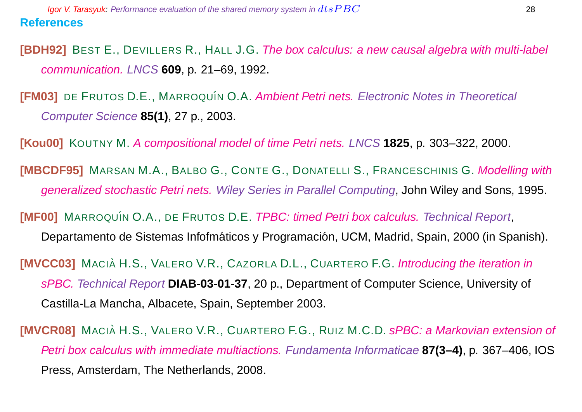**[BDH92]** BEST E., DEVILLERS R., HALL J.G. The box calculus: a new causal algebra with multi-label communication. LNCS **609**, p. 21–69, 1992.

**[FM03]** DE FRUTOS D.E., MARROQUÍN O.A. Ambient Petri nets. Electronic Notes in Theoretical Computer Science **85(1)**, 27 p., 2003.

**[Kou00]** KOUTNY M. A compositional model of time Petri nets. LNCS **1825**, p. 303–322, 2000.

**[MBCDF95]** MARSAN M.A., BALBO G., CONTE G., DONATELLI S., FRANCESCHINIS G. Modelling with generalized stochastic Petri nets. Wiley Series in Parallel Computing, John Wiley and Sons, 1995.

**[MF00]** MARROQUÍN O.A., DE FRUTOS D.E. *TPBC: timed Petri box calculus. Technical Report,* 

Departamento de Sistemas Infofmáticos y Programación, UCM, Madrid, Spain, 2000 (in Spanish).

**[MVCC03]** MACIÀ H.S., VALERO V.R., CAZORLA D.L., CUARTERO F.G. Introducing the iteration in sPBC. Technical Report **DIAB-03-01-37**, 20 p., Department of Computer Science, University of Castilla-La Mancha, Albacete, Spain, September 2003.

**[MVCR08]** MACIÀ H.S., VALERO V.R., CUARTERO F.G., RUIZ M.C.D. sPBC: a Markovian extension of Petri box calculus with immediate multiactions. Fundamenta Informaticae **87(3–4)**, p. 367–406, IOS Press, Amsterdam, The Netherlands, 2008.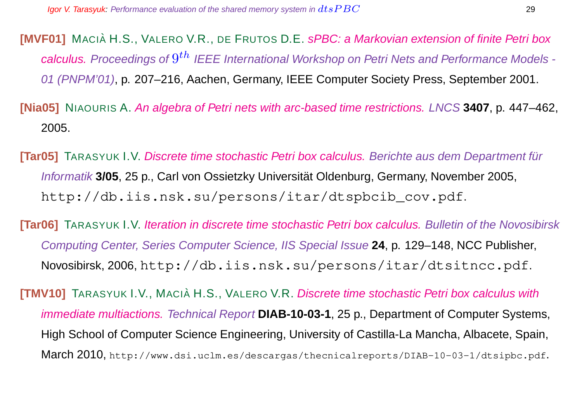**[MVF01]** MACIÀ H.S., VALERO V.R., DE FRUTOS D.E. sPBC: a Markovian extension of finite Petri box calculus. Proceedings of  $9^{th}$  IEEE International Workshop on Petri Nets and Performance Models -01 (PNPM'01), p. 207–216, Aachen, Germany, IEEE Computer Society Press, September 2001.

**[Nia05]** NIAOURIS A. An algebra of Petri nets with arc-based time restrictions. LNCS **3407**, p. 447–462, 2005.

**[Tar05]** TARASYUK I.V. Discrete time stochastic Petri box calculus. Berichte aus dem Department für Informatik **3/05**, 25 p., Carl von Ossietzky Universität Oldenburg, Germany, November 2005, http://db.iis.nsk.su/persons/itar/dtspbcib\_cov.pdf.

**[Tar06]** TARASYUK I.V. Iteration in discrete time stochastic Petri box calculus. Bulletin of the Novosibirsk Computing Center, Series Computer Science, IIS Special Issue **24**, p. 129–148, NCC Publisher, Novosibirsk, 2006, http://db.iis.nsk.su/persons/itar/dtsitncc.pdf.

**[TMV10]** TARASYUK I.V., MACIA H.S., VALERO V.R. Discrete time stochastic Petri box calculus with immediate multiactions. Technical Report **DIAB-10-03-1**, 25 p., Department of Computer Systems, High School of Computer Science Engineering, University of Castilla-La Mancha, Albacete, Spain, March 2010, http://www.dsi.uclm.es/descargas/thecnicalreports/DIAB-10-03-1/dtsipbc.pdf.